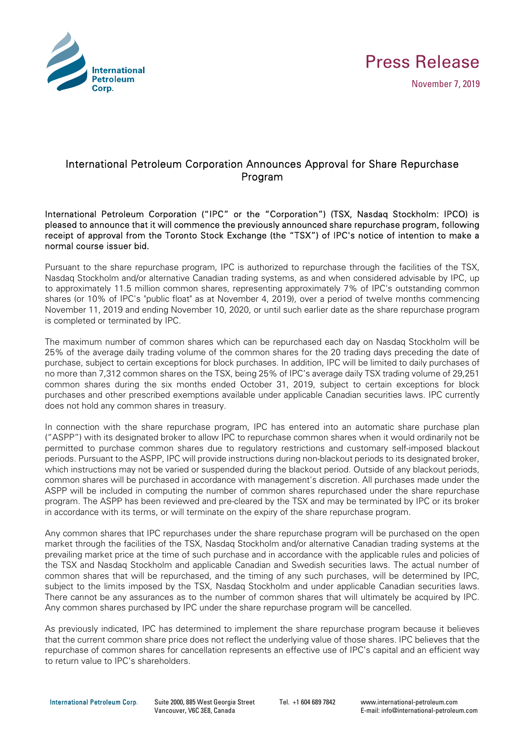



## International Petroleum Corporation Announces Approval for Share Repurchase Program

International Petroleum Corporation ("IPC" or the "Corporation") (TSX, Nasdaq Stockholm: IPCO) is pleased to announce that it will commence the previously announced share repurchase program, following receipt of approval from the Toronto Stock Exchange (the "TSX") of IPC's notice of intention to make a normal course issuer bid.

Pursuant to the share repurchase program, IPC is authorized to repurchase through the facilities of the TSX, Nasdaq Stockholm and/or alternative Canadian trading systems, as and when considered advisable by IPC, up to approximately 11.5 million common shares, representing approximately 7% of IPC's outstanding common shares (or 10% of IPC's "public float" as at November 4, 2019), over a period of twelve months commencing November 11, 2019 and ending November 10, 2020, or until such earlier date as the share repurchase program is completed or terminated by IPC.

The maximum number of common shares which can be repurchased each day on Nasdaq Stockholm will be 25% of the average daily trading volume of the common shares for the 20 trading days preceding the date of purchase, subject to certain exceptions for block purchases. In addition, IPC will be limited to daily purchases of no more than 7,312 common shares on the TSX, being 25% of IPC's average daily TSX trading volume of 29,251 common shares during the six months ended October 31, 2019, subject to certain exceptions for block purchases and other prescribed exemptions available under applicable Canadian securities laws. IPC currently does not hold any common shares in treasury.

In connection with the share repurchase program, IPC has entered into an automatic share purchase plan ("ASPP") with its designated broker to allow IPC to repurchase common shares when it would ordinarily not be permitted to purchase common shares due to regulatory restrictions and customary self-imposed blackout periods. Pursuant to the ASPP, IPC will provide instructions during non-blackout periods to its designated broker, which instructions may not be varied or suspended during the blackout period. Outside of any blackout periods, common shares will be purchased in accordance with management's discretion. All purchases made under the ASPP will be included in computing the number of common shares repurchased under the share repurchase program. The ASPP has been reviewed and pre-cleared by the TSX and may be terminated by IPC or its broker in accordance with its terms, or will terminate on the expiry of the share repurchase program.

Any common shares that IPC repurchases under the share repurchase program will be purchased on the open market through the facilities of the TSX, Nasdaq Stockholm and/or alternative Canadian trading systems at the prevailing market price at the time of such purchase and in accordance with the applicable rules and policies of the TSX and Nasdaq Stockholm and applicable Canadian and Swedish securities laws. The actual number of common shares that will be repurchased, and the timing of any such purchases, will be determined by IPC, subject to the limits imposed by the TSX, Nasdaq Stockholm and under applicable Canadian securities laws. There cannot be any assurances as to the number of common shares that will ultimately be acquired by IPC. Any common shares purchased by IPC under the share repurchase program will be cancelled.

As previously indicated, IPC has determined to implement the share repurchase program because it believes that the current common share price does not reflect the underlying value of those shares. IPC believes that the repurchase of common shares for cancellation represents an effective use of IPC's capital and an efficient way to return value to IPC's shareholders.

International Petroleum Corp. Suite 2000, 885 West Georgia Street Vancouver, V6C 3E8, Canada